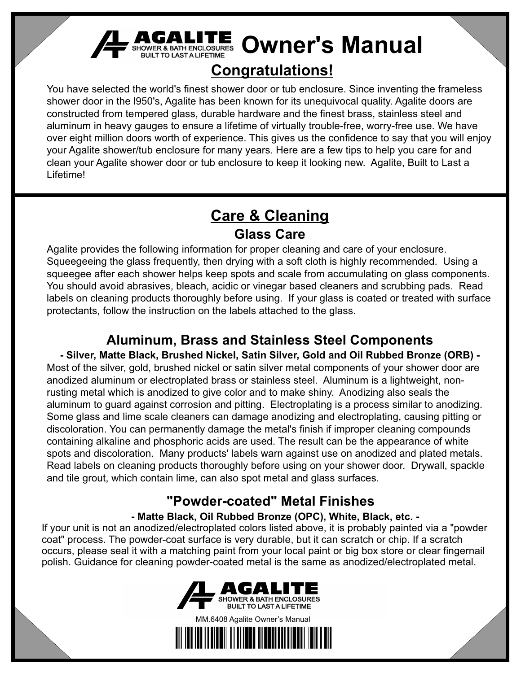

# **F SHOWER & BATH ENCLOSURES** Owner's Manual

## **Congratulations!**

You have selected the world's finest shower door or tub enclosure. Since inventing the frameless shower door in the l950's, Agalite has been known for its unequivocal quality. Agalite doors are constructed from tempered glass, durable hardware and the finest brass, stainless steel and aluminum in heavy gauges to ensure a lifetime of virtually trouble-free, worry-free use. We have over eight million doors worth of experience. This gives us the confidence to say that you will enjoy your Agalite shower/tub enclosure for many years. Here are a few tips to help you care for and clean your Agalite shower door or tub enclosure to keep it looking new. Agalite, Built to Last a Lifetime!

### **Care & Cleaning Glass Care**

Agalite provides the following information for proper cleaning and care of your enclosure. Squeegeeing the glass frequently, then drying with a soft cloth is highly recommended. Using a squeegee after each shower helps keep spots and scale from accumulating on glass components. You should avoid abrasives, bleach, acidic or vinegar based cleaners and scrubbing pads. Read labels on cleaning products thoroughly before using. If your glass is coated or treated with surface protectants, follow the instruction on the labels attached to the glass.

### **Aluminum, Brass and Stainless Steel Components**

**- Silver, Matte Black, Brushed Nickel, Satin Silver, Gold and Oil Rubbed Bronze (ORB) -** Most of the silver, gold, brushed nickel or satin silver metal components of your shower door are anodized aluminum or electroplated brass or stainless steel. Aluminum is a lightweight, nonrusting metal which is anodized to give color and to make shiny. Anodizing also seals the aluminum to guard against corrosion and pitting. Electroplating is a process similar to anodizing. Some glass and lime scale cleaners can damage anodizing and electroplating, causing pitting or discoloration. You can permanently damage the metal's finish if improper cleaning compounds containing alkaline and phosphoric acids are used. The result can be the appearance of white spots and discoloration. Many products' labels warn against use on anodized and plated metals. Read labels on cleaning products thoroughly before using on your shower door. Drywall, spackle and tile grout, which contain lime, can also spot metal and glass surfaces.

### **"Powder-coated" Metal Finishes**

### **- Matte Black, Oil Rubbed Bronze (OPC), White, Black, etc. -**

If your unit is not an anodized/electroplated colors listed above, it is probably painted via a "powder coat" process. The powder-coat surface is very durable, but it can scratch or chip. If a scratch occurs, please seal it with a matching paint from your local paint or big box store or clear fingernail polish. Guidance for cleaning powder-coated metal is the same as anodized/electroplated metal.



MM.6408 Agalite Owner's Manual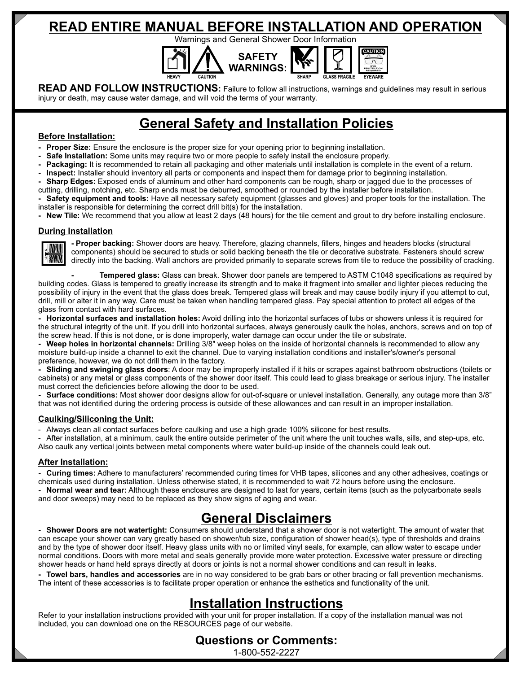### **READ ENTIRE MANUAL BEFORE INSTALLATION AND OPERATION**

Warnings and General Shower Door Information **SAFETY WARNINGS: HEAVY CAUTION SHARP GLASS FRAGILE CAUTION EYE PROTECTION REQUIRED EYEWARE**

**READ AND FOLLOW INSTRUCTIONS:** Failure to follow all instructions, warnings and guidelines may result in serious injury or death, may cause water damage, and will void the terms of your warranty.

### **General Safety and Installation Policies**

#### **Before Installation:**

- Proper Size: Ensure the enclosure is the proper size for your opening prior to beginning installation.
- **Safe Installation:** Some units may require two or more people to safely install the enclosure properly.
- Packaging: It is recommended to retain all packaging and other materials until installation is complete in the event of a return.
- **Inspect:** Installer should inventory all parts or components and inspect them for damage prior to beginning installation.
- **Sharp Edges:** Exposed ends of aluminum and other hard components can be rough, sharp or jagged due to the processes of cutting, drilling, notching, etc. Sharp ends must be deburred, smoothed or rounded by the installer before installation.

**- Safety equipment and tools:** Have all necessary safety equipment (glasses and gloves) and proper tools for the installation. The installer is responsible for determining the correct drill bit(s) for the installation.

**- New Tile:** We recommend that you allow at least 2 days (48 hours) for the tile cement and grout to dry before installing enclosure.

#### **During Installation**



**- Proper backing:** Shower doors are heavy. Therefore, glazing channels, fillers, hinges and headers blocks (structural components) should be secured to studs or solid backing beneath the tile or decorative substrate. Fasteners should screw directly into the backing. Wall anchors are provided primarily to separate screws from tile to reduce the possibility of cracking.

**- Tempered glass:** Glass can break. Shower door panels are tempered to ASTM C1048 specifications as required by building codes. Glass is tempered to greatly increase its strength and to make it fragment into smaller and lighter pieces reducing the possibility of injury in the event that the glass does break. Tempered glass will break and may cause bodily injury if you attempt to cut, drill, mill or alter it in any way. Care must be taken when handling tempered glass. Pay special attention to protect all edges of the glass from contact with hard surfaces.

**- Horizontal surfaces and installation holes:** Avoid drilling into the horizontal surfaces of tubs or showers unless it is required for the structural integrity of the unit. If you drill into horizontal surfaces, always generously caulk the holes, anchors, screws and on top of the screw head. If this is not done, or is done improperly, water damage can occur under the tile or substrate.

**- Weep holes in horizontal channels:** Drilling 3/8" weep holes on the inside of horizontal channels is recommended to allow any moisture build-up inside a channel to exit the channel. Due to varying installation conditions and installer's/owner's personal preference, however, we do not drill them in the factory.

**- Sliding and swinging glass doors**: A door may be improperly installed if it hits or scrapes against bathroom obstructions (toilets or cabinets) or any metal or glass components of the shower door itself. This could lead to glass breakage or serious injury. The installer must correct the deficiencies before allowing the door to be used.

**- Surface conditions:** Most shower door designs allow for out-of-square or unlevel installation. Generally, any outage more than 3/8" that was not identified during the ordering process is outside of these allowances and can result in an improper installation.

#### **Caulking/Siliconing the Unit:**

Always clean all contact surfaces before caulking and use a high grade 100% silicone for best results.

After installation, at a minimum, caulk the entire outside perimeter of the unit where the unit touches walls, sills, and step-ups, etc. Also caulk any vertical joints between metal components where water build-up inside of the channels could leak out.

#### **After Installation:**

**- Curing times:** Adhere to manufacturers' recommended curing times for VHB tapes, silicones and any other adhesives, coatings or chemicals used during installation. Unless otherwise stated, it is recommended to wait 72 hours before using the enclosure. **- Normal wear and tear:** Although these enclosures are designed to last for years, certain items (such as the polycarbonate seals and door sweeps) may need to be replaced as they show signs of aging and wear.

### **General Disclaimers**

**- Shower Doors are not watertight:** Consumers should understand that a shower door is not watertight. The amount of water that can escape your shower can vary greatly based on shower/tub size, configuration of shower head(s), type of thresholds and drains and by the type of shower door itself. Heavy glass units with no or limited vinyl seals, for example, can allow water to escape under normal conditions. Doors with more metal and seals generally provide more water protection. Excessive water pressure or directing shower heads or hand held sprays directly at doors or joints is not a normal shower conditions and can result in leaks.

**- Towel bars, handles and accessories** are in no way considered to be grab bars or other bracing or fall prevention mechanisms. The intent of these accessories is to facilitate proper operation or enhance the esthetics and functionality of the unit.

### **Installation Instructions**

Refer to your installation instructions provided with your unit for proper installation. If a copy of the installation manual was not included, you can download one on the RESOURCES page of our website.

#### **Questions or Comments:** 1-800-552-2227